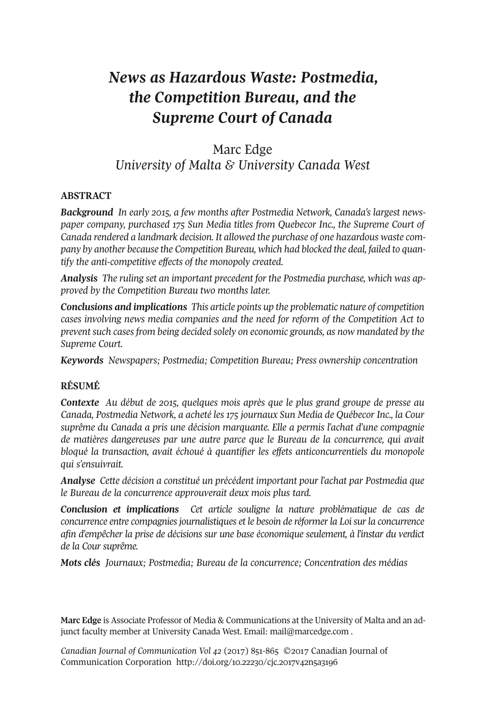## *News as Hazardous Waste: Postmedia, the Competition Bureau, and the Supreme Court of Canada*

### Marc Edge *University of Malta & University Canada West*

#### **ABSTRACT**

*Background In early 2015, a few months after Postmedia Network, Canada's largest newspaper company, purchased 175 Sun Media titles from Quebecor Inc., the Supreme Court of Canada rendered a landmark decision. It allowed the purchase of one hazardous waste company by another because the Competition Bureau, which had blocked the deal, failed to quantify the anti-competitive effects of the monopoly created.*

*Analysis The ruling set an important precedent for the Postmedia purchase, which was approved by the Competition Bureau two months later.*

*Conclusions and implications This article points up the problematic nature of competition cases involving news media companies and the need for reform of the Competition Act to prevent such cases from being decided solely on economic grounds, as now mandated by the Supreme Court.*

*Keywords Newspapers; Postmedia; Competition Bureau; Press ownership concentration*

#### **RÉSUMÉ**

*Contexte Au début de 2015, quelques mois après que le plus grand groupe de presse au Canada, Postmedia Network, a acheté les 175 journaux Sun Media de Québecor Inc., la Cour suprême du Canada a pris une décision marquante. Elle a permis l'achat d'une compagnie de matières dangereuses par une autre parce que le Bureau de la concurrence, qui avait bloqué la transaction, avait échoué à quantifier les effets anticoncurrentiels du monopole qui s'ensuivrait.*

*Analyse Cette décision a constitué un précédent important pour l'achat par Postmedia que le Bureau de la concurrence approuverait deux mois plus tard.*

*Conclusion et implications Cet article souligne la nature problématique de cas de concurrence entre compagniesjournalistiques et le besoin de réformerla Loisurla concurrence afin d'empêcher la prise de décisions sur une base économique seulement, à l'instar du verdict de la Cour suprême.*

*Mots clés Journaux; Postmedia; Bureau de la concurrence; Concentration des médias*

**Marc Edge** is Associate Professor of Media & Communications at the University of Malta and an adjunct faculty member at University Canada West. Email: [mail@marcedge.com](mailto:mail@marcedge.com).

*Canadian Journal of [Communication](http://www.cjc-online.ca) Vol 42* (2017) 851-865 ©2017 Canadian Journal of Communication Corporation <http://doi.org/10.22230/cjc.2017v42n5a3196>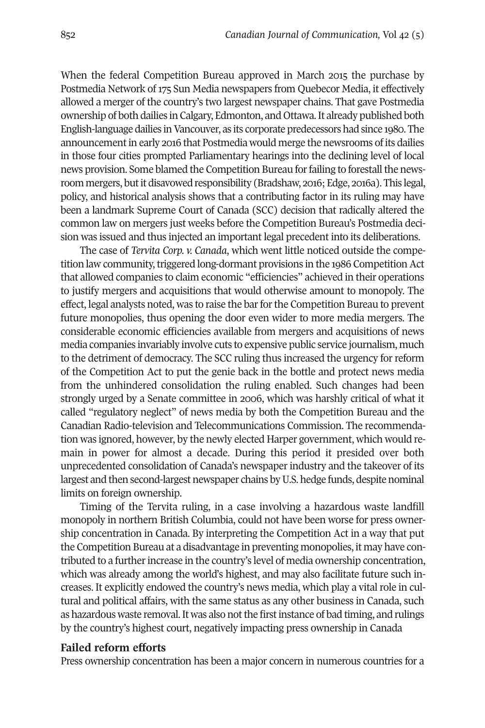When the federal Competition Bureau approved in March 2015 the purchase by Postmedia Network of 175 Sun Media newspapers from Quebecor Media, it effectively allowed a merger of the country's two largest newspaper chains. That gave Postmedia ownership of both dailies in Calgary, Edmonton, and Ottawa.It already published both English-language dailies inVancouver, as its corporate predecessors had since 1980. The announcementin early 2016 that Postmedia would merge the newsrooms of its dailies in those four cities prompted Parliamentary hearings into the declining level of local news provision. Some blamed the Competition Bureau for failing to forestall the newsroom mergers, butit disavowed responsibility (Bradshaw, 2016; Edge, 2016a). This legal, policy, and historical analysis shows that a contributing factor in its ruling may have been a landmark Supreme Court of Canada (SCC) decision that radically altered the common law on mergers just weeks before the Competition Bureau's Postmedia decision was issued and thus injected an important legal precedent into its deliberations.

The case of *Tervita Corp. v. Canada*, which went little noticed outside the competition law community, triggered long-dormant provisions in the 1986 Competition Act that allowed companies to claim economic "efficiencies" achieved in their operations to justify mergers and acquisitions that would otherwise amount to monopoly. The effect, legal analysts noted, was to raise the barforthe Competition Bureau to prevent future monopolies, thus opening the door even wider to more media mergers. The considerable economic efficiencies available from mergers and acquisitions of news media companies invariably involve cuts to expensive public service journalism, much to the detriment of democracy. The SCC ruling thus increased the urgency for reform of the Competition Act to put the genie back in the bottle and protect news media from the unhindered consolidation the ruling enabled. Such changes had been strongly urged by a Senate committee in 2006, which was harshly critical of what it called "regulatory neglect" of news media by both the Competition Bureau and the Canadian Radio-television and Telecommunications Commission. The recommendation was ignored, however, by the newly elected Harper government, which would remain in power for almost a decade. During this period it presided over both unprecedented consolidation of Canada's newspaper industry and the takeover of its largest and then second-largest newspaper chains byU.S. hedge funds, despite nominal limits on foreign ownership.

Timing of the Tervita ruling, in a case involving a hazardous waste landfill monopoly in northern British Columbia, could not have been worse for press ownership concentration in Canada. By interpreting the Competition Act in a way that put the Competition Bureau at a disadvantage in preventing monopolies, it may have contributed to a further increase in the country's level of media ownership concentration, which was already among the world's highest, and may also facilitate future such increases. It explicitly endowed the country's news media, which play a vital role in cultural and political affairs, with the same status as any other business in Canada, such as hazardous waste removal. It was also not the first instance of bad timing, and rulings by the country's highest court, negatively impacting press ownership in Canada

#### **Failed reform efforts**

Press ownership concentration has been a major concern in numerous countries for a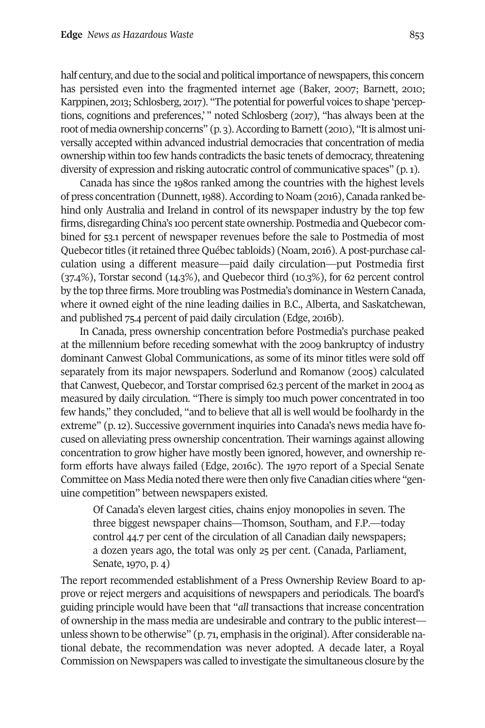half century, and due to the social and political importance of newspapers, this concern has persisted even into the fragmented internet age (Baker, 2007; Barnett, 2010; Karppinen, 2013; Schlosberg, 2017). "The potential for powerful voices to shape 'perceptions, cognitions and preferences,' " noted Schlosberg (2017), "has always been at the root of media ownership concerns" (p. 3). According to Barnett (2010), "It is almost universally accepted within advanced industrial democracies that concentration of media ownership within too few hands contradicts the basic tenets of democracy, threatening diversity of expression and risking autocratic control of communicative spaces" (p.1).

Canada has since the 1980s ranked among the countries with the highest levels of press concentration (Dunnett,1988).According to Noam (2016), Canada ranked behind only Australia and Ireland in control of its newspaper industry by the top few firms, disregarding China's 100 percent state ownership. Postmedia and Quebecor combined for 53.1 percent of newspaper revenues before the sale to Postmedia of most Quebecortitles (itretained three Québec tabloids) (Noam, 2016).Apost-purchase calculation using a different measure—paid daily circulation—put Postmedia first (37.4%), Torstar second (14.3%), and Quebecor third (10.3%), for 62 percent control by the top three firms. More troubling was Postmedia's dominance in Western Canada, where it owned eight of the nine leading dailies in B.C., Alberta, and Saskatchewan, and published 75.4 percent of paid daily circulation (Edge, 2016b).

In Canada, press ownership concentration before Postmedia's purchase peaked at the millennium before receding somewhat with the 2009 bankruptcy of industry dominant Canwest Global Communications, as some of its minor titles were sold off separately from its major newspapers. Soderlund and Romanow (2005) calculated that Canwest, Quebecor, and Torstar comprised 62.3 percent of the market in 2004 as measured by daily circulation. "There is simply too much power concentrated in too few hands," they concluded, "and to believe that all is well would be foolhardy in the extreme" (p. 12). Successive government inquiries into Canada's news media have focused on alleviating press ownership concentration. Their warnings against allowing concentration to grow higher have mostly been ignored, however, and ownership reform efforts have always failed (Edge, 2016c). The 1970 report of a Special Senate Committee on Mass Media noted there were then only five Canadian cities where "genuine competition" between newspapers existed.

Of Canada's eleven largest cities, chains enjoy monopolies in seven. The three biggest newspaper chains—Thomson, Southam, and F.P.—today control 44.7 per cent of the circulation of all Canadian daily newspapers; a dozen years ago, the total was only 25 per cent. (Canada, Parliament, Senate, 1970, p. 4)

The report recommended establishment of a Press Ownership Review Board to approve or reject mergers and acquisitions of newspapers and periodicals. The board's guiding principle would have been that "*all* transactions that increase concentration of ownership in the mass media are undesirable and contrary to the public interest unless shown to be otherwise"  $(p, z_1, z_2, p_1)$  emphasis in the original). After considerable national debate, the recommendation was never adopted. A decade later, a Royal Commission on Newspapers was called to investigate the simultaneous closure by the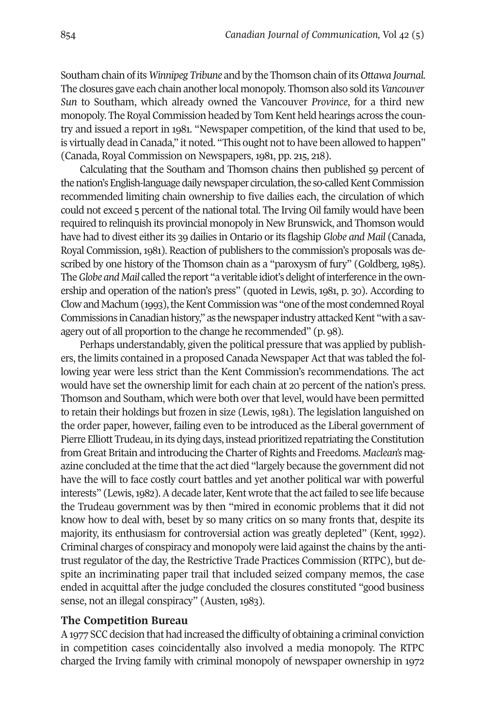Southam chain ofits *Winnipeg Tribune* and by the Thomson chain ofits *Ottawa Journal*. The closures gave each chain anotherlocal monopoly. Thomson also sold its*Vancouver Sun* to Southam, which already owned the Vancouver *Province*, for a third new monopoly. The Royal Commission headed by Tom Kent held hearings across the country and issued a report in 1981. "Newspaper competition, of the kind that used to be, is virtually dead in Canada," it noted. "This ought not to have been allowed to happen" (Canada, Royal Commission on Newspapers, 1981, pp. 215, 218).

Calculating that the Southam and Thomson chains then published 59 percent of the nation's English-language daily newspaper circulation, the so-called Kent Commission recommended limiting chain ownership to five dailies each, the circulation of which could not exceed 5 percent of the national total. The Irving Oil family would have been required to relinquish its provincial monopoly in New Brunswick, and Thomson would have had to divest eitherits 39 dailies in Ontario orits flagship *Globe and Mail* (Canada, Royal Commission,1981). Reaction of publishers to the commission's proposals was described by one history of the Thomson chain as a "paroxysm of fury" (Goldberg, 1985). The *Globe* and Mail called the report "a veritable idiot's delight of interference in the ownership and operation of the nation's press" (quoted in Lewis, 1981, p. 30). According to Clow and Machum (1993), the Kent Commission was "one of the most condemned Royal Commissions in Canadian history," as the newspaper industry attacked Kent "with a savagery out of all proportion to the change he recommended" (p. 98).

Perhaps understandably, given the political pressure that was applied by publishers, the limits contained in a proposed Canada Newspaper Act that was tabled the following year were less strict than the Kent Commission's recommendations. The act would have set the ownership limit for each chain at 20 percent of the nation's press. Thomson and Southam, which were both overthat level, would have been permitted to retain their holdings but frozen in size (Lewis, 1981). The legislation languished on the order paper, however, failing even to be introduced as the Liberal government of Pierre Elliott Trudeau, in its dying days, instead prioritized repatriating the Constitution from Great Britain and introducing the Charter of Rights and Freedoms. *Maclean's* magazine concluded at the time that the act died "largely because the government did not have the will to face costly court battles and yet another political war with powerful interests" (Lewis, 1982). A decade later, Kent wrote that the act failed to see life because the Trudeau government was by then "mired in economic problems that it did not know how to deal with, beset by so many critics on so many fronts that, despite its majority, its enthusiasm for controversial action was greatly depleted" (Kent, 1992). Criminal charges of conspiracy and monopoly were laid againstthe chains by the antitrust regulator of the day, the Restrictive Trade Practices Commission (RTPC), but despite an incriminating paper trail that included seized company memos, the case ended in acquittal after the judge concluded the closures constituted "good business sense, not an illegal conspiracy" (Austen, 1983).

#### **The Competition Bureau**

A1977 SCC decision that had increased the difficulty of obtaining a criminal conviction in competition cases coincidentally also involved a media monopoly. The RTPC charged the Irving family with criminal monopoly of newspaper ownership in 1972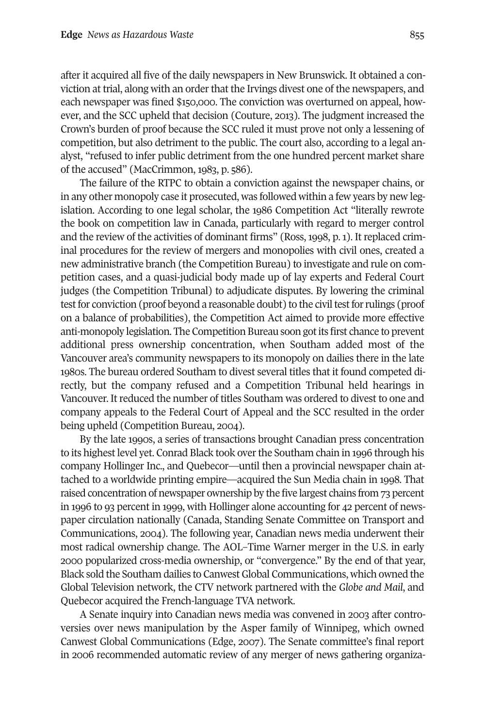after it acquired all five of the daily newspapers in New Brunswick. It obtained a conviction at trial, along with an order that the Irvings divest one of the newspapers, and each newspaper was fined \$150,000. The conviction was overturned on appeal, however, and the SCC upheld that decision (Couture, 2013). The judgment increased the Crown's burden of proof because the SCC ruled it must prove not only a lessening of competition, but also detriment to the public. The court also, according to a legal analyst, "refused to infer public detriment from the one hundred percent market share of the accused" (MacCrimmon, 1983, p. 586).

The failure of the RTPC to obtain a conviction against the newspaper chains, or in any other monopoly case it prosecuted, was followed within a few years by new legislation. According to one legal scholar, the 1986 Competition Act "literally rewrote the book on competition law in Canada, particularly with regard to merger control and the review of the activities of dominant firms" (Ross, 1998, p. 1). It replaced criminal procedures for the review of mergers and monopolies with civil ones, created a new administrative branch (the Competition Bureau) to investigate and rule on competition cases, and a quasi-judicial body made up of lay experts and Federal Court judges (the Competition Tribunal) to adjudicate disputes. By lowering the criminal test for conviction (proof beyond a reasonable doubt) to the civil test for rulings (proof on a balance of probabilities), the Competition Act aimed to provide more effective anti-monopoly legislation. The Competition Bureau soon gotits first chance to prevent additional press ownership concentration, when Southam added most of the Vancouver area's community newspapers to its monopoly on dailies there in the late 1980s. The bureau ordered Southam to divest several titles that it found competed directly, but the company refused and a Competition Tribunal held hearings in Vancouver. It reduced the number of titles Southam was ordered to divest to one and company appeals to the Federal Court of Appeal and the SCC resulted in the order being upheld (Competition Bureau, 2004).

By the late 1990s, a series of transactions brought Canadian press concentration to its highestlevel yet. Conrad Black took overthe Southam chain in 1996 through his company Hollinger Inc., and Quebecor—until then a provincial newspaper chain attached to a worldwide printing empire—acquired the Sun Media chain in 1998. That raised concentration of newspaper ownership by the five largest chains from 73 percent in 1996 to 93 percent in 1999, with Hollinger alone accounting for 42 percent of newspaper circulation nationally (Canada, Standing Senate Committee on Transport and Communications, 2004). The following year, Canadian news media underwent their most radical ownership change. The AOL–Time Warner merger in the U.S. in early 2000 popularized cross-media ownership, or "convergence." By the end of that year, Black sold the Southam dailies to CanwestGlobal Communications, which owned the Global Television network, the CTV network partnered with the *Globe and Mail*, and Quebecor acquired the French-language TVA network.

A Senate inquiry into Canadian news media was convened in 2003 after controversies over news manipulation by the Asper family of Winnipeg, which owned Canwest Global Communications (Edge, 2007). The Senate committee's final report in 2006 recommended automatic review of any merger of news gathering organiza-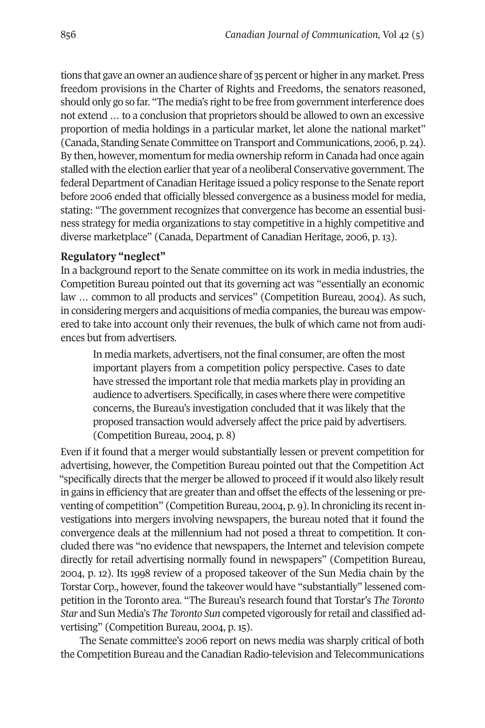tions that gave an owner an audience share of 35 percent or higher in any market. Press freedom provisions in the Charter of Rights and Freedoms, the senators reasoned, should only go so far. "The media's right to be free from government interference does not extend … to a conclusion that proprietors should be allowed to own an excessive proportion of media holdings in a particular market, let alone the national market" (Canada, Standing Senate Committee on Transport and Communications, 2006, p. 24). By then, however, momentum for media ownership reform in Canada had once again stalled with the election earlier that year of a neoliberal Conservative government. The federal Department of Canadian Heritage issued a policy response to the Senate report before 2006 ended that officially blessed convergence as a business model for media, stating: "The government recognizes that convergence has become an essential business strategy for media organizations to stay competitive in a highly competitive and diverse marketplace" (Canada, Department of Canadian Heritage, 2006, p. 13).

#### **Regulatory "neglect"**

In a background report to the Senate committee on its work in media industries, the Competition Bureau pointed out that its governing act was "essentially an economic law … common to all products and services" (Competition Bureau, 2004). As such, in considering mergers and acquisitions of media companies, the bureau was empowered to take into account only their revenues, the bulk of which came not from audiences but from advertisers.

In media markets, advertisers, not the final consumer, are often the most important players from a competition policy perspective. Cases to date have stressed the important role that media markets play in providing an audience to advertisers. Specifically, in cases where there were competitive concerns, the Bureau's investigation concluded that it was likely that the proposed transaction would adversely affect the price paid by advertisers. (Competition Bureau, 2004, p. 8)

Even if it found that a merger would substantially lessen or prevent competition for advertising, however, the Competition Bureau pointed out that the Competition Act "specifically directs that the merger be allowed to proceed if it would also likely result in gains in efficiency that are greater than and offset the effects of the lessening or preventing of competition" (Competition Bureau, 2004, p. 9). In chronicling its recentinvestigations into mergers involving newspapers, the bureau noted that it found the convergence deals at the millennium had not posed a threat to competition. It concluded there was "no evidence that newspapers, the Internet and television compete directly for retail advertising normally found in newspapers" (Competition Bureau, 2004, p. 12). Its 1998 review of a proposed takeover of the Sun Media chain by the Torstar Corp., however, found the takeover would have "substantially" lessened competition in the Toronto area. "The Bureau's research found that Torstar's *The Toronto Star* and Sun Media's *The Toronto Sun* competed vigorously forretail and classified advertising" (Competition Bureau, 2004, p. 15).

The Senate committee's 2006 report on news media was sharply critical of both the Competition Bureau and the Canadian Radio-television and Telecommunications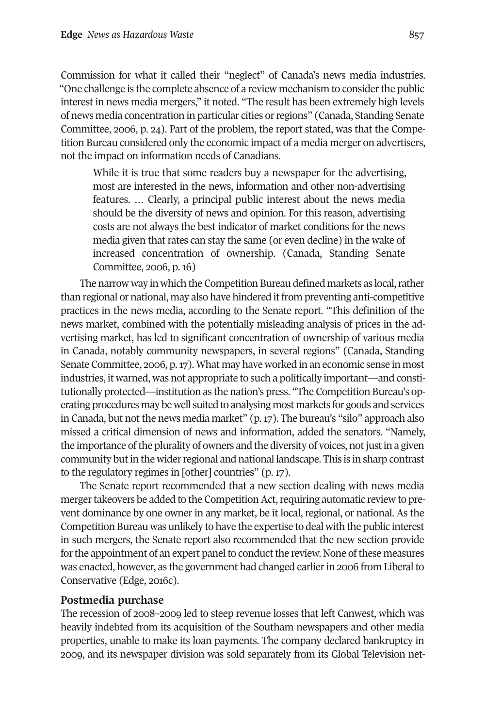Commission for what it called their "neglect" of Canada's news media industries. "One challenge is the complete absence of a review mechanism to consider the public interest in news media mergers," it noted. "The result has been extremely high levels of news media concentration in particular cities orregions" (Canada, Standing Senate Committee, 2006, p. 24). Part of the problem, the report stated, was that the Competition Bureau considered only the economic impact of a media merger on advertisers, not the impact on information needs of Canadians.

While it is true that some readers buy a newspaper for the advertising, most are interested in the news, information and other non-advertising features. … Clearly, a principal public interest about the news media should be the diversity of news and opinion. For this reason, advertising costs are not always the best indicator of market conditions for the news media given that rates can stay the same (or even decline) in the wake of increased concentration of ownership. (Canada, Standing Senate Committee, 2006, p. 16)

The narrow way in which the Competition Bureau defined markets as local, rather than regional or national, may also have hindered itfrom preventing anti-competitive practices in the news media, according to the Senate report. "This definition of the news market, combined with the potentially misleading analysis of prices in the advertising market, has led to significant concentration of ownership of various media in Canada, notably community newspapers, in several regions" (Canada, Standing Senate Committee, 2006, p.17). What may have worked in an economic sense in most industries, it warned, was not appropriate to such a politically important—and constitutionally protected—institution as the nation's press. "The Competition Bureau's operating procedures may be well suited to analysing most markets for goods and services in Canada, but not the news media market" (p.17). The bureau's "silo" approach also missed a critical dimension of news and information, added the senators. "Namely, the importance of the plurality of owners and the diversity of voices, not just in a given community butin the widerregional and national landscape. This is in sharp contrast to the regulatory regimes in [other] countries" (p. 17).

The Senate report recommended that a new section dealing with news media merger takeovers be added to the Competition Act, requiring automatic review to prevent dominance by one owner in any market, be it local, regional, or national. As the Competition Bureau was unlikely to have the expertise to deal with the public interest in such mergers, the Senate report also recommended that the new section provide for the appointment of an expert panel to conduct the review. None of these measures was enacted, however, as the government had changed earlier in 2006 from Liberal to Conservative (Edge, 2016c).

#### **Postmedia purchase**

The recession of 2008–2009 led to steep revenue losses that left Canwest, which was heavily indebted from its acquisition of the Southam newspapers and other media properties, unable to make its loan payments. The company declared bankruptcy in 2009, and its newspaper division was sold separately from its Global Television net-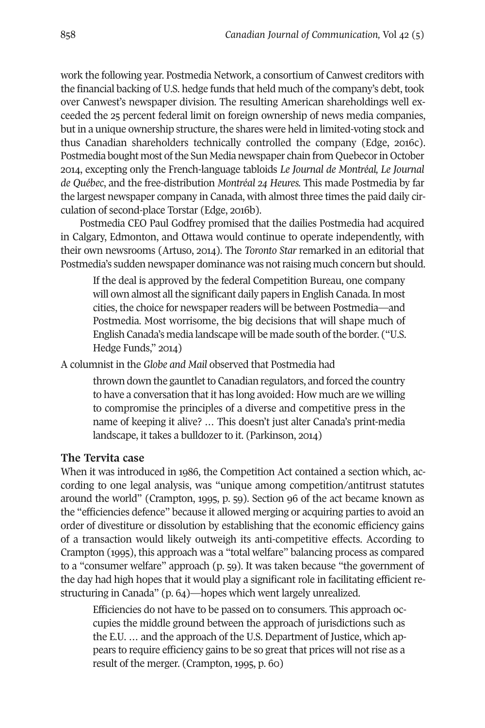work the following year. Postmedia Network, a consortium of Canwest creditors with the financial backing of U.S. hedge funds that held much of the company's debt, took over Canwest's newspaper division. The resulting American shareholdings well exceeded the 25 percent federal limit on foreign ownership of news media companies, but in a unique ownership structure, the shares were held in limited-voting stock and thus Canadian shareholders technically controlled the company (Edge, 2016c). Postmedia bought most of the Sun Media newspaper chain from Quebecor in October 2014, excepting only the French-language tabloids *Le Journal de Montréal, Le Journal de Québec*, and the free-distribution *Montréal 24 Heures.* This made Postmedia by far the largest newspaper company in Canada, with almost three times the paid daily circulation of second-place Torstar (Edge, 2016b).

Postmedia CEO Paul Godfrey promised that the dailies Postmedia had acquired in Calgary, Edmonton, and Ottawa would continue to operate independently, with their own newsrooms (Artuso, 2014). The *Toronto Star* remarked in an editorial that Postmedia's sudden newspaper dominance was not raising much concern but should.

If the deal is approved by the federal Competition Bureau, one company will own almost all the significant daily papers in English Canada. In most cities, the choice for newspaper readers will be between Postmedia—and Postmedia. Most worrisome, the big decisions that will shape much of English Canada's media landscape will be made south of the border. ("U.S. Hedge Funds," 2014)

A columnist in the *Globe and Mail* observed that Postmedia had

thrown down the gauntlet to Canadian regulators, and forced the country to have a conversation that it has long avoided: How much are we willing to compromise the principles of a diverse and competitive press in the name of keeping it alive? … This doesn't just alter Canada's print-media landscape, it takes a bulldozer to it. (Parkinson, 2014)

#### **The Tervita case**

When it was introduced in 1986, the Competition Act contained a section which, according to one legal analysis, was "unique among competition/antitrust statutes around the world" (Crampton, 1995, p. 59). Section 96 of the act became known as the "efficiencies defence" because it allowed merging or acquiring parties to avoid an order of divestiture or dissolution by establishing that the economic efficiency gains of a transaction would likely outweigh its anti-competitive effects. According to Crampton (1995), this approach was a "total welfare" balancing process as compared to a "consumer welfare" approach (p. 59). It was taken because "the government of the day had high hopes that it would play a significant role in facilitating efficient restructuring in Canada" (p. 64)—hopes which went largely unrealized.

Efficiencies do not have to be passed on to consumers. This approach occupies the middle ground between the approach of jurisdictions such as the E.U. … and the approach of the U.S. Department of Justice, which appears to require efficiency gains to be so great that prices will not rise as a result of the merger. (Crampton, 1995, p. 60)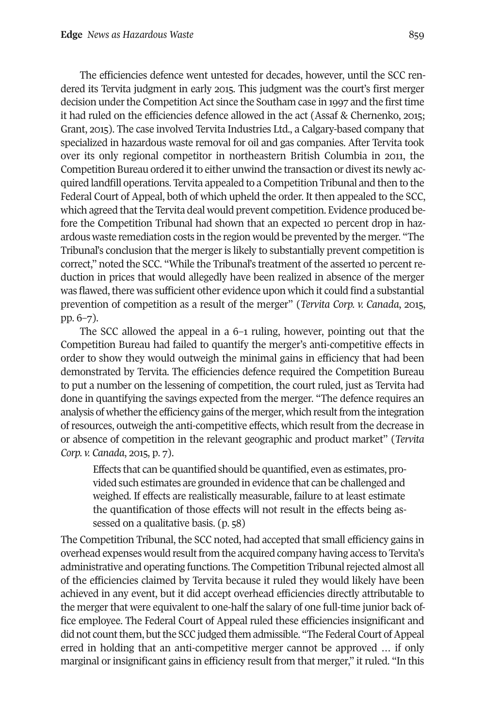The efficiencies defence went untested for decades, however, until the SCC rendered its Tervita judgment in early 2015. This judgment was the court's first merger decision under the Competition Act since the Southam case in 1997 and the first time it had ruled on the efficiencies defence allowed in the act (Assaf & Chernenko, 2015; Grant, 2015). The case involved Tervita Industries Ltd., a Calgary-based company that specialized in hazardous waste removal for oil and gas companies. After Tervita took over its only regional competitor in northeastern British Columbia in 2011, the Competition Bureau ordered it to either unwind the transaction or divest its newly acquired landfill operations. Tervita appealed to a Competition Tribunal and then to the Federal Court of Appeal, both of which upheld the order. It then appealed to the SCC, which agreed that the Tervita deal would prevent competition. Evidence produced before the Competition Tribunal had shown that an expected 10 percent drop in hazardous waste remediation costs in the region would be prevented by the merger. "The Tribunal's conclusion that the merger is likely to substantially prevent competition is correct," noted the SCC. "While the Tribunal's treatment of the asserted 10 percentreduction in prices that would allegedly have been realized in absence of the merger was flawed, there was sufficient other evidence upon which it could find a substantial prevention of competition as a result of the merger" (*Tervita Corp. v. Canada*, 2015, pp. 6–7).

The SCC allowed the appeal in a 6–1 ruling, however, pointing out that the Competition Bureau had failed to quantify the merger's anti-competitive effects in order to show they would outweigh the minimal gains in efficiency that had been demonstrated by Tervita. The efficiencies defence required the Competition Bureau to put a number on the lessening of competition, the court ruled, just as Tervita had done in quantifying the savings expected from the merger. "The defence requires an analysis of whether the efficiency gains of the merger, which result from the integration of resources, outweigh the anti-competitive effects, which result from the decrease in or absence of competition in the relevant geographic and product market" (*Tervita Corp. v. Canada*, 2015, p. 7).

Effects that can be quantified should be quantified, even as estimates, provided such estimates are grounded in evidence that can be challenged and weighed. If effects are realistically measurable, failure to at least estimate the quantification of those effects will not result in the effects being assessed on a qualitative basis. (p. 58)

The Competition Tribunal, the SCC noted, had accepted that small efficiency gains in overhead expenses would result from the acquired company having access to Tervita's administrative and operating functions. The Competition Tribunalrejected almost all of the efficiencies claimed by Tervita because it ruled they would likely have been achieved in any event, but it did accept overhead efficiencies directly attributable to the merger that were equivalent to one-half the salary of one full-time junior back office employee. The Federal Court of Appeal ruled these efficiencies insignificant and did not count them, but the SCC judged them admissible. "The Federal Court of Appeal erred in holding that an anti-competitive merger cannot be approved … if only marginal or insignificant gains in efficiency result from that merger," it ruled. "In this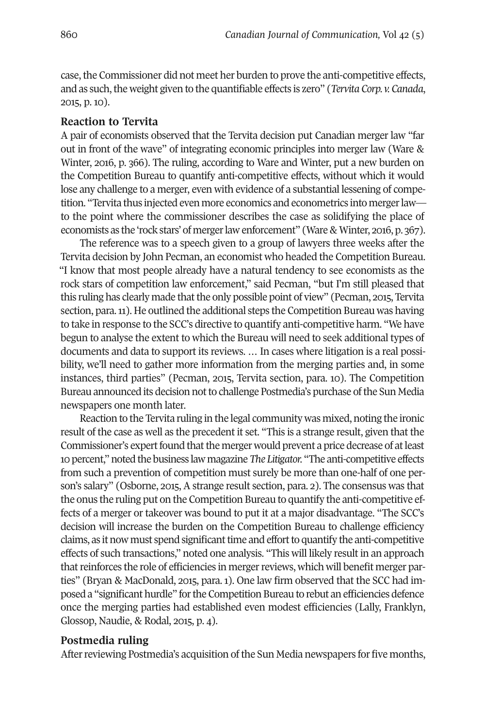case, the Commissioner did not meet her burden to prove the anti-competitive effects, and as such, the weight given to the quantifiable effects is zero" (*Tervita Corp. v. Canada*, 2015, p. 10).

#### **Reaction to Tervita**

A pair of economists observed that the Tervita decision put Canadian merger law "far out in front of the wave" of integrating economic principles into merger law (Ware & Winter, 2016, p. 366). The ruling, according to Ware and Winter, put a new burden on the Competition Bureau to quantify anti-competitive effects, without which it would lose any challenge to a merger, even with evidence of a substantial lessening of competition. "Tervita thus injected even more economics and econometrics into mergerlaw to the point where the commissioner describes the case as solidifying the place of economists as the 'rock stars' of merger law enforcement'' (Ware & Winter, 2016, p. 367).

The reference was to a speech given to a group of lawyers three weeks after the Tervita decision by John Pecman, an economist who headed the Competition Bureau. "I know that most people already have a natural tendency to see economists as the rock stars of competition law enforcement," said Pecman, "but I'm still pleased that this ruling has clearly made that the only possible point of view" (Pecman, 2015, Tervita section, para.11). He outlined the additional steps the Competition Bureau was having to take in response to the SCC's directive to quantify anti-competitive harm. "We have begun to analyse the extent to which the Bureau will need to seek additional types of documents and data to support its reviews. … In cases where litigation is a real possibility, we'll need to gather more information from the merging parties and, in some instances, third parties" (Pecman, 2015, Tervita section, para. 10). The Competition Bureau announced its decision not to challenge Postmedia's purchase of the Sun Media newspapers one month later.

Reaction to the Tervita ruling in the legal community was mixed, noting the ironic result of the case as well as the precedent it set. "This is a strange result, given that the Commissioner's expert found that the merger would prevent a price decrease of at least 10 percent,"noted the business lawmagazine*The Litigator.* "The anti-competitive effects from such a prevention of competition must surely be more than one-half of one person's salary" (Osborne, 2015, A strange result section, para. 2). The consensus was that the onus the ruling put on the Competition Bureau to quantify the anti-competitive effects of a merger or takeover was bound to put it at a major disadvantage. "The SCC's decision will increase the burden on the Competition Bureau to challenge efficiency claims, as it now must spend significant time and effort to quantify the anti-competitive effects of such transactions," noted one analysis. "This will likely result in an approach that reinforces the role of efficiencies in merger reviews, which will benefit merger parties" (Bryan & MacDonald, 2015, para. 1). One law firm observed that the SCC had imposed a "significant hurdle" for the Competition Bureau to rebut an efficiencies defence once the merging parties had established even modest efficiencies (Lally, Franklyn, Glossop, Naudie, & Rodal, 2015, p. 4).

#### **Postmedia ruling**

After reviewing Postmedia's acquisition of the Sun Media newspapers for five months,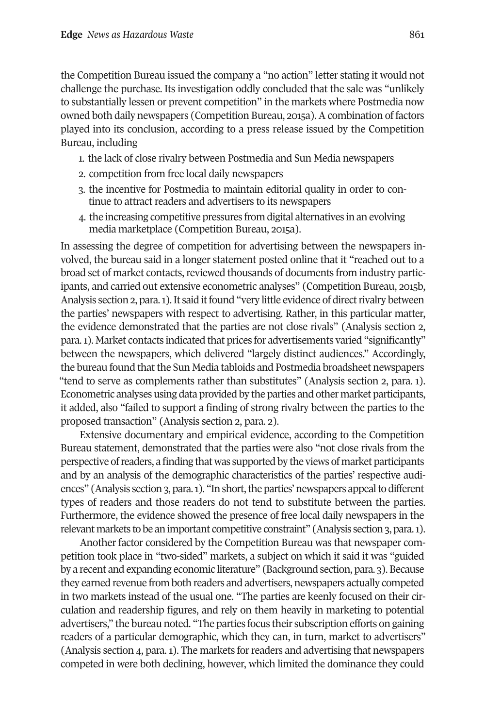the Competition Bureau issued the company a "no action" letter stating it would not challenge the purchase. Its investigation oddly concluded that the sale was "unlikely to substantially lessen or prevent competition" in the markets where Postmedia now owned both daily newspapers (Competition Bureau, 2015a). A combination of factors played into its conclusion, according to a press release issued by the Competition Bureau, including

- 1. the lack of close rivalry between Postmedia and Sun Media newspapers
- 2. competition from free local daily newspapers
- 3. the incentive for Postmedia to maintain editorial quality in order to continue to attract readers and advertisers to its newspapers
- 4. the increasing competitive pressures from digital alternatives in an evolving media marketplace (Competition Bureau, 2015a).

In assessing the degree of competition for advertising between the newspapers involved, the bureau said in a longer statement posted online that it "reached out to a broad set of market contacts, reviewed thousands of documents from industry participants, and carried out extensive econometric analyses" (Competition Bureau, 2015b, Analysis section 2, para. 1). It said it found "very little evidence of direct rivalry between the parties' newspapers with respect to advertising. Rather, in this particular matter, the evidence demonstrated that the parties are not close rivals" (Analysis section 2, para.1). Market contacts indicated that prices for advertisements varied "significantly" between the newspapers, which delivered "largely distinct audiences." Accordingly, the bureau found that the Sun Media tabloids and Postmedia broadsheet newspapers "tend to serve as complements rather than substitutes" (Analysis section 2, para. 1). Econometric analyses using data provided by the parties and other market participants, it added, also "failed to support a finding of strong rivalry between the parties to the proposed transaction" (Analysis section 2, para. 2).

Extensive documentary and empirical evidence, according to the Competition Bureau statement, demonstrated that the parties were also "not close rivals from the perspective ofreaders, a finding that was supported by the views of market participants and by an analysis of the demographic characteristics of the parties' respective audiences" (Analysis section 3, para. 1). "In short, the parties' newspapers appeal to different types of readers and those readers do not tend to substitute between the parties. Furthermore, the evidence showed the presence of free local daily newspapers in the relevant markets to be an important competitive constraint" (Analysis section 3, para.1).

Another factor considered by the Competition Bureau was that newspaper competition took place in "two-sided" markets, a subject on which it said it was "guided by a recent and expanding economic literature" (Background section, para. 3). Because they earned revenue from both readers and advertisers, newspapers actually competed in two markets instead of the usual one. "The parties are keenly focused on their circulation and readership figures, and rely on them heavily in marketing to potential advertisers," the bureau noted. "The parties focus their subscription efforts on gaining readers of a particular demographic, which they can, in turn, market to advertisers" (Analysis section 4, para.1). The markets forreaders and advertising that newspapers competed in were both declining, however, which limited the dominance they could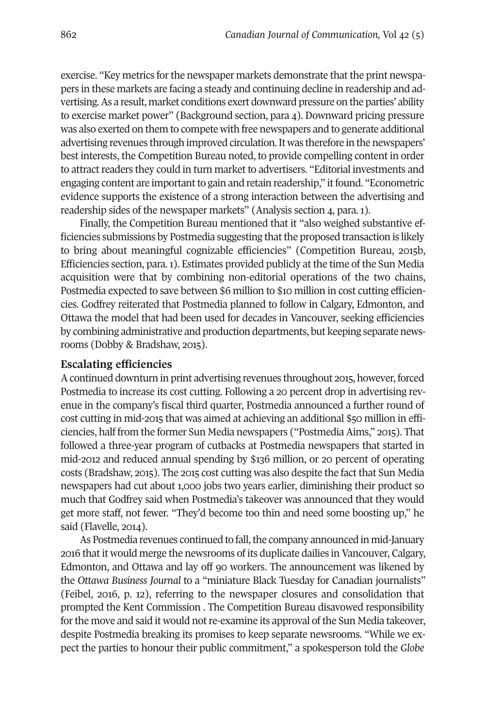exercise. "Key metrics for the newspaper markets demonstrate that the print newspapers in these markets are facing a steady and continuing decline in readership and advertising. As a result, market conditions exert downward pressure on the parties' ability to exercise market power" (Background section, para 4). Downward pricing pressure was also exerted on them to compete with free newspapers and to generate additional advertising revenues through improved circulation.It was therefore in the newspapers' best interests, the Competition Bureau noted, to provide compelling content in order to attract readers they could in turn market to advertisers. "Editorial investments and engaging content are important to gain and retain readership," it found. "Econometric evidence supports the existence of a strong interaction between the advertising and readership sides of the newspaper markets" (Analysis section 4, para. 1).

Finally, the Competition Bureau mentioned that it "also weighed substantive efficiencies submissions by Postmedia suggesting thatthe proposed transaction is likely to bring about meaningful cognizable efficiencies" (Competition Bureau, 2015b, Efficiencies section, para.1). Estimates provided publicly at the time of the Sun Media acquisition were that by combining non-editorial operations of the two chains, Postmedia expected to save between \$6 million to \$10 million in cost cutting efficiencies. Godfrey reiterated that Postmedia planned to follow in Calgary, Edmonton, and Ottawa the model that had been used for decades in Vancouver, seeking efficiencies by combining administrative and production departments, but keeping separate newsrooms (Dobby & Bradshaw, 2015).

#### **Escalating efficiencies**

Acontinued downturn in print advertising revenues throughout 2015, however, forced Postmedia to increase its cost cutting. Following a 20 percent drop in advertising revenue in the company's fiscal third quarter, Postmedia announced a further round of cost cutting in mid-2015 that was aimed at achieving an additional \$50 million in efficiencies, half from the former Sun Media newspapers ("Postmedia Aims," 2015). That followed a three-year program of cutbacks at Postmedia newspapers that started in mid-2012 and reduced annual spending by \$136 million, or 20 percent of operating costs (Bradshaw, 2015). The 2015 cost cutting was also despite the fact that Sun Media newspapers had cut about 1,000 jobs two years earlier, diminishing their product so much that Godfrey said when Postmedia's takeover was announced that they would get more staff, not fewer. "They'd become too thin and need some boosting up," he said (Flavelle, 2014).

As Postmedia revenues continued to fall, the company announced in mid-January 2016 that it would merge the newsrooms of its duplicate dailies in Vancouver, Calgary, Edmonton, and Ottawa and lay off 90 workers. The announcement was likened by the *Ottawa Business Journal* to a "miniature Black Tuesday for Canadian journalists" (Feibel, 2016, p. 12), referring to the newspaper closures and consolidation that prompted the Kent Commission . The Competition Bureau disavowed responsibility for the move and said it would not re-examine its approval of the Sun Media takeover, despite Postmedia breaking its promises to keep separate newsrooms. "While we expect the parties to honour their public commitment," a spokesperson told the *Globe*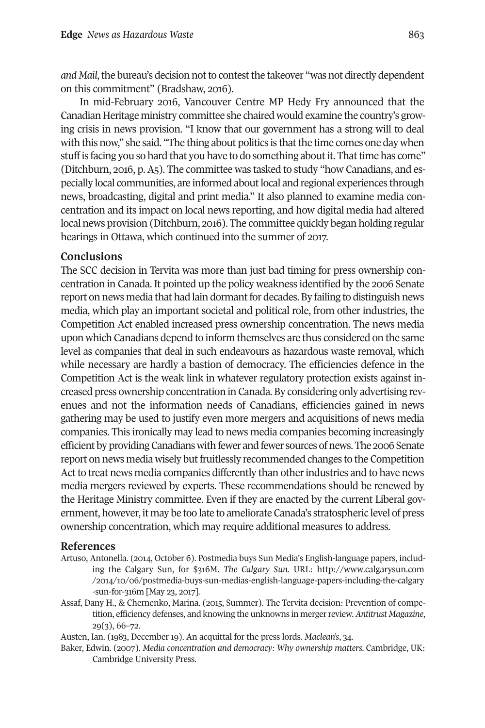*and Mail*, the bureau's decision not to contest the takeover "was not directly dependent on this commitment" (Bradshaw, 2016).

In mid-February 2016, Vancouver Centre MP Hedy Fry announced that the Canadian Heritage ministry committee she chaired would examine the country's growing crisis in news provision. "I know that our government has a strong will to deal with this now," she said. "The thing about politics is that the time comes one day when stuff is facing you so hard that you have to do something about it. That time has come" (Ditchburn, 2016, p. A5). The committee was tasked to study "how Canadians, and especially local communities, are informed about local and regional experiences through news, broadcasting, digital and print media." It also planned to examine media concentration and its impact on local news reporting, and how digital media had altered local news provision (Ditchburn, 2016). The committee quickly began holding regular hearings in Ottawa, which continued into the summer of 2017.

#### **Conclusions**

The SCC decision in Tervita was more than just bad timing for press ownership concentration in Canada. It pointed up the policy weakness identified by the 2006 Senate report on news media that had lain dormant for decades. By failing to distinguish news media, which play an important societal and political role, from other industries, the Competition Act enabled increased press ownership concentration. The news media upon which Canadians depend to inform themselves are thus considered on the same level as companies that deal in such endeavours as hazardous waste removal, which while necessary are hardly a bastion of democracy. The efficiencies defence in the Competition Act is the weak link in whatever regulatory protection exists against increased press ownership concentration in Canada. By considering only advertising revenues and not the information needs of Canadians, efficiencies gained in news gathering may be used to justify even more mergers and acquisitions of news media companies. This ironically may lead to news media companies becoming increasingly efficient by providingCanadians with fewer and fewer sources of news. The 2006 Senate report on news media wisely but fruitlessly recommended changes to the Competition Act to treat news media companies differently than otherindustries and to have news media mergers reviewed by experts. These recommendations should be renewed by the Heritage Ministry committee. Even if they are enacted by the current Liberal government, however, it may be too late to ameliorate Canada's stratospheric level of press ownership concentration, which may require additional measures to address.

#### **References**

- Artuso, Antonella. (2014, October 6). Postmedia buys Sun Media's English-language papers, including the Calgary Sun, for \$316M. *The Calgary Sun*. URL: [http://www.calgarysun.com](http://www.calgarysun.com/2014/10/06/postmedia-buys-sun-medias-english-language-papers-including-the-calgary-sun-for-316m) [/2014/10/06/postmedia-buys-sun-medias-english-language-papers-including-the-calgary](http://www.calgarysun.com/2014/10/06/postmedia-buys-sun-medias-english-language-papers-including-the-calgary-sun-for-316m) [-sun-for-316m](http://www.calgarysun.com/2014/10/06/postmedia-buys-sun-medias-english-language-papers-including-the-calgary-sun-for-316m) [May 23, 2017].
- Assaf, Dany H., & Chernenko, Marina. (2015, Summer). The Tervita decision: Prevention of competition, efficiency defenses, and knowing the unknowns in mergerreview. *Antitrust Magazine*, 29(3), 66–72.

Austen, Ian. (1983, December 19). An acquittal for the press lords. *Maclean's*, 34.

Baker, Edwin. (2007). *Media concentration and democracy: Why ownership matters.* Cambridge, UK: Cambridge University Press.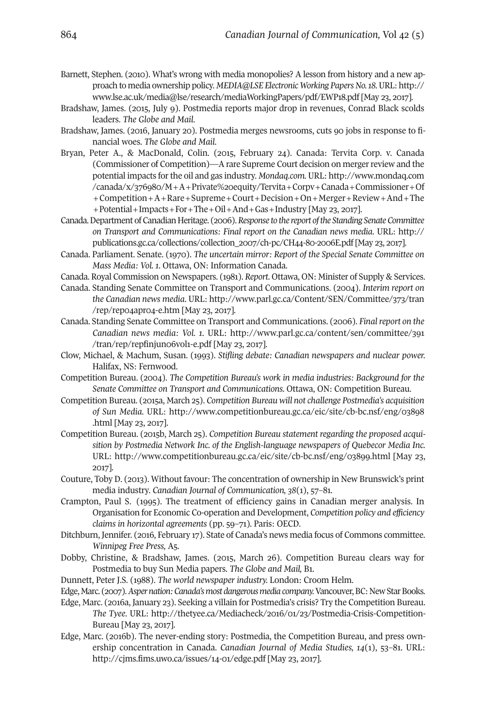- Barnett, Stephen. (2010). What's wrong with media monopolies? A lesson from history and a new approach to media ownership policy. *MEDIA@LSE Electronic Working PapersNo.18.*URL: [http://](http://www.lse.ac.uk/media@lse/research/mediaWorkingPapers/pdf/EWP18.pdf) [www.lse.ac.uk/media@lse/research/mediaWorkingPapers/pdf/EWP18.pdf](http://www.lse.ac.uk/media@lse/research/mediaWorkingPapers/pdf/EWP18.pdf) [May 23, 2017].
- Bradshaw, James. (2015, July 9). Postmedia reports major drop in revenues, Conrad Black scolds leaders. *The Globe and Mail*.
- Bradshaw, James. (2016, January 20). Postmedia merges newsrooms, cuts 90 jobs in response to financial woes. *The Globe and Mail*.
- Bryan, Peter A., & MacDonald, Colin. (2015, February 24). Canada: Tervita Corp. v. Canada (Commissioner of Competition)—A rare Supreme Court decision on mergerreview and the potential impacts forthe oil and gas industry. *Mondaq.com.* URL: [http://www.mondaq.com](http://www.mondaq.com/canada/x/376980/M+A+Private%20equity/Tervita+Corpv+Canada+Commissioner+Of+Competition+A+Rare+Supreme+Court+Decision+On+Merger+Review+And+The+Potential+Impacts+For+The+Oil+And+Gas+Industry) [/canada/x/376980/M+A+Private%20equity/Tervita+Corpv+Canada+Commissioner+Of](http://www.mondaq.com/canada/x/376980/M+A+Private%20equity/Tervita+Corpv+Canada+Commissioner+Of+Competition+A+Rare+Supreme+Court+Decision+On+Merger+Review+And+The+Potential+Impacts+For+The+Oil+And+Gas+Industry) [+Competition+A+Rare+Supreme+Court+Decision+On+Merger+Review+And+The](http://www.mondaq.com/canada/x/376980/M+A+Private%20equity/Tervita+Corpv+Canada+Commissioner+Of+Competition+A+Rare+Supreme+Court+Decision+On+Merger+Review+And+The+Potential+Impacts+For+The+Oil+And+Gas+Industry) [+Potential+Impacts+For+The+Oil+And+Gas+Industry](http://www.mondaq.com/canada/x/376980/M+A+Private%20equity/Tervita+Corpv+Canada+Commissioner+Of+Competition+A+Rare+Supreme+Court+Decision+On+Merger+Review+And+The+Potential+Impacts+For+The+Oil+And+Gas+Industry) [May 23, 2017].
- Canada.Department ofCanadianHeritage. (2006).*Response to the report ofthe Standing SenateCommittee on Transport and Communications: Final report on the Canadian news media*. URL: [http://](http://publications.gc.ca/collections/collection_2007/ch-pc/CH44-80-2006E.pdf) [publications.gc.ca/collections/collection\\_2007/ch-pc/CH44-80-2006E.pdf](http://publications.gc.ca/collections/collection_2007/ch-pc/CH44-80-2006E.pdf) [May 23, 2017].
- Canada. Parliament. Senate. (1970). *The uncertain mirror: Report of the Special Senate Committee on Mass Media: Vol. 1*. Ottawa, ON: Information Canada.
- Canada. Royal Commission on Newspapers. (1981). *Report*. Ottawa, ON: Minister of Supply & Services.
- Canada. Standing Senate Committee on Transport and Communications. (2004). *Interim report on the Canadian news media*. URL: [http://www.parl.gc.ca/Content/SEN/Committee/373/tran](http://www.parl.gc.ca/Content/SEN/Committee/373/tran/rep/rep04apr04-e.htm) [/rep/rep04apr04-e.htm](http://www.parl.gc.ca/Content/SEN/Committee/373/tran/rep/rep04apr04-e.htm) [May 23, 2017].
- Canada. Standing Senate Committee on Transport and Communications. (2006). *Finalreport on the Canadian news media: Vol. 1*. URL: [http://www.parl.gc.ca/content/sen/committee/391](http://www.parl.gc.ca/content/sen/committee/391/tran/rep/repfinjun06vol1-e.pdf ) [/tran/rep/repfinjun06vol1-e.pdf](http://www.parl.gc.ca/content/sen/committee/391/tran/rep/repfinjun06vol1-e.pdf ) [May 23, 2017].
- Clow, Michael, & Machum, Susan. (1993). *Stifling debate: Canadian newspapers and nuclear power.* Halifax, NS: Fernwood.
- Competition Bureau. (2004). *The Competition Bureau's work in media industries: Background for the Senate Committee on Transport and Communications.* Ottawa, ON: Competition Bureau.
- Competition Bureau. (2015a, March 25). *Competition Bureau will not challenge Postmedia's acquisition of Sun Media.* URL: [http://www.competitionbureau.gc.ca/eic/site/cb-bc.nsf/eng/03898](http://www.competitionbureau.gc.ca/eic/site/cb-bc.nsf/eng/03898.html) [.html](http://www.competitionbureau.gc.ca/eic/site/cb-bc.nsf/eng/03898.html) [May 23, 2017].
- Competition Bureau. (2015b, March 25). *Competition Bureau statement regarding the proposed acquisition by Postmedia Network Inc. of the English-language newspapers of Quebecor Media Inc.* URL: <http://www.competitionbureau.gc.ca/eic/site/cb-bc.nsf/eng/03899.html> [May 23, 2017].
- Couture, Toby D. (2013). Without favour: The concentration of ownership in New Brunswick's print media industry. *Canadian Journal of Communication, 38*(1), 57–81.
- Crampton, Paul S. (1995). The treatment of efficiency gains in Canadian merger analysis. In Organisation for Economic Co-operation and Development, *Competition policy and efficiency claims in horizontal agreements* (pp. 59–71)*.* Paris: OECD.
- Ditchburn, Jennifer. (2016, February 17). State of Canada's news media focus of Commons committee. *Winnipeg Free Press,* A5.
- Dobby, Christine, & Bradshaw, James. (2015, March 26). Competition Bureau clears way for Postmedia to buy Sun Media papers. *The Globe and Mail,* B1.
- Dunnett, Peter J.S. (1988). *The world newspaper industry.* London: Croom Helm.
- Edge, Marc. (2007). Asper nation: Canada's most dangerous media company. Vancouver, BC: New Star Books.
- Edge, Marc. (2016a, January 23). Seeking a villain for Postmedia's crisis? Try the Competition Bureau. *The Tyee*. URL: [http://thetyee.ca/Mediacheck/2016/01/23/Postmedia-Crisis-Competition-](http://thetyee.ca/Mediacheck/2016/01/23/Postmedia-Crisis-Competition-Bureau)[Bureau](http://thetyee.ca/Mediacheck/2016/01/23/Postmedia-Crisis-Competition-Bureau) [May 23, 2017].
- Edge, Marc. (2016b). The never-ending story: Postmedia, the Competition Bureau, and press ownership concentration in Canada. *Canadian Journal of Media Studies, 14*(1), 53–81. URL: <http://cjms.fims.uwo.ca/issues/14-01/edge.pdf> [May 23, 2017].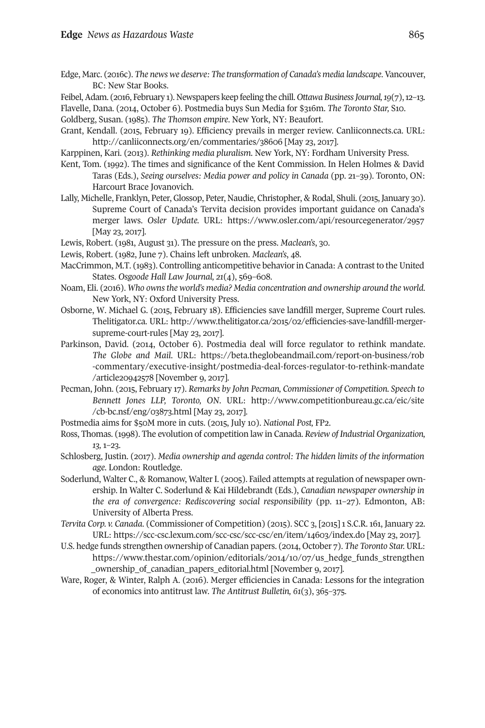Edge, Marc. (2016c). *The news we deserve: The transformation of Canada's media landscape*. Vancouver, BC: New Star Books.

Feibel, Adam. (2016, February 1). Newspapers keep feeling the chill. *Ottawa Business Journal*, 19(7), 12-13. Flavelle, Dana. (2014, October 6). Postmedia buys Sun Media for \$316m. *The Toronto Star,* S10.

Goldberg, Susan. (1985). *The Thomson empire*. New York, NY: Beaufort.

Grant, Kendall. (2015, February 19). Efficiency prevails in merger review. Canliiconnects.ca. URL: <http://canliiconnects.org/en/commentaries/38606> [May 23, 2017].

Karppinen, Kari. (2013). *Rethinking media pluralism*. New York, NY: Fordham University Press.

- Kent, Tom. (1992). The times and significance of the Kent Commission. In Helen Holmes & David Taras (Eds.), *Seeing ourselves: Media power and policy in Canada* (pp. 21–39)*.* Toronto, ON: Harcourt Brace Jovanovich.
- Lally, Michelle, Franklyn, Peter, Glossop, Peter, Naudie, Christopher, & Rodal, Shuli. (2015, January 30). Supreme Court of Canada's Tervita decision provides important guidance on Canada's merger laws. *Osler Update.* URL: <https://www.osler.com/api/resourcegenerator/2957> [May 23, 2017].

Lewis, Robert. (1981, August 31). The pressure on the press. *Maclean's*, 30.

- Lewis, Robert. (1982, June 7). Chains left unbroken. *Maclean's*, 48.
- MacCrimmon, M.T. (1983). Controlling anticompetitive behaviorin Canada: A contrast to the United States. *Osgoode Hall Law Journal, 21*(4), 569–608.
- Noam, Eli. (2016). *Who ownsthe world's media? Media concentration and ownership around the world*. New York, NY: Oxford University Press.
- Osborne, W. Michael G. (2015, February 18). Efficiencies save landfill merger, Supreme Court rules. Thelitigator.ca. URL: [http://www.thelitigator.ca/2015/02/efficiencies-save-landfill-merger](http://www.thelitigator.ca/2015/02/efficiencies-save-landfill-merger-supreme-court-rules)[supreme-court-rules](http://www.thelitigator.ca/2015/02/efficiencies-save-landfill-merger-supreme-court-rules) [May 23, 2017].
- Parkinson, David. (2014, October 6). Postmedia deal will force regulator to rethink mandate. *The Globe and Mail*. URL: [https://beta.theglobeandmail.com/report-on-business/rob](https://beta.theglobeandmail.com/report-on-business/rob-commentary/executive-insight/postmedia-deal-forces-regulator-to-rethink-mandate/article20942578) [-commentary/executive-insight/postmedia-deal-forces-regulator-to-rethink-mandate](https://beta.theglobeandmail.com/report-on-business/rob-commentary/executive-insight/postmedia-deal-forces-regulator-to-rethink-mandate/article20942578) [/article20942578](https://beta.theglobeandmail.com/report-on-business/rob-commentary/executive-insight/postmedia-deal-forces-regulator-to-rethink-mandate/article20942578) [November 9, 2017].
- Pecman, John. (2015, February 17). *Remarks by John Pecman, Commissioner of Competition. Speech to Bennett Jones LLP, Toronto, ON*. URL: [http://www.competitionbureau.gc.ca/eic/site](http://www.competitionbureau.gc.ca/eic/site/cb-bc.nsf/eng/03873.html) [/cb-bc.nsf/eng/03873.html](http://www.competitionbureau.gc.ca/eic/site/cb-bc.nsf/eng/03873.html) [May 23, 2017].
- Postmedia aims for \$50M more in cuts. (2015, July 10). *National Post,* FP2.
- Ross, Thomas. (1998). The evolution of competition law in Canada. *Review of Industrial Organization, 13,* 1–23.
- Schlosberg, Justin. (2017). *Media ownership and agenda control: The hidden limits of the information age*. London: Routledge.
- Soderlund, Walter C., & Romanow, Walter I. (2005). Failed attempts at regulation of newspaper ownership. In Walter C. Soderlund & Kai Hildebrandt (Eds.), *Canadian newspaper ownership in the era of convergence: Rediscovering social responsibility* (pp. 11–27)*.* Edmonton, AB: University of Alberta Press.
- *Tervita Corp. v. Canada*. (Commissioner of Competition) (2015). SCC 3, [2015] 1 S.C.R. 161, January 22. URL: <https://scc-csc.lexum.com/scc-csc/scc-csc/en/item/14603/index.do> [May 23, 2017].
- U.S. hedge funds strengthen ownership of Canadian papers. (2014, October 7). *The Toronto Star.* URL: [https://www.thestar.com/opinion/editorials/2014/10/07/us\\_hedge\\_funds\\_strengthen](https://www.thestar.com/opinion/editorials/2014/10/07/us_hedge_funds_strengthen_ownership_of_canadian_papers_editorial.html) [\\_ownership\\_of\\_canadian\\_papers\\_editorial.html](https://www.thestar.com/opinion/editorials/2014/10/07/us_hedge_funds_strengthen_ownership_of_canadian_papers_editorial.html) [November 9, 2017].
- Ware, Roger, & Winter, Ralph A. (2016). Merger efficiencies in Canada: Lessons for the integration of economics into antitrust law. *The Antitrust Bulletin, 61*(3), 365–375.